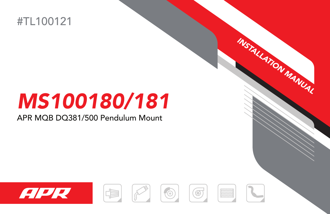

## MS100180/181

## APR MQB DQ381/500 Pendulum Mount













INSTALLATION MANUAL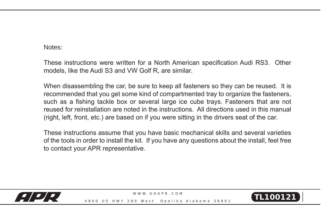## Notes:

These instructions were written for a North American specification Audi RS3. Other models, like the Audi S3 and VW Golf R, are similar.

When disassembling the car, be sure to keep all fasteners so they can be reused. It is recommended that you get some kind of compartmented tray to organize the fasteners, such as a fishing tackle box or several large ice cube trays. Fasteners that are not reused for reinstallation are noted in the instructions. All directions used in this manual (right, left, front, etc.) are based on if you were sitting in the drivers seat of the car.

These instructions assume that you have basic mechanical skills and several varieties of the tools in order to install the kit. If you have any questions about the install, feel free to contact your APR representative.



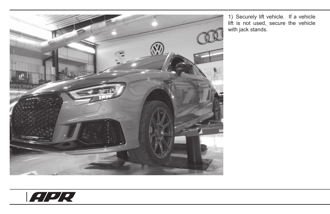

1) Securely lift vehicle. If a vehicle lift is not used, secure the vehicle with jack stands.

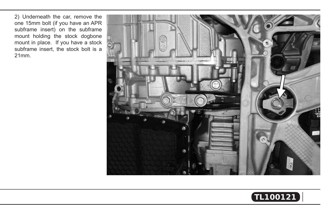2) Underneath the car, remove the one 15mm bolt (if you have an APR subframe insert) on the subframe mount holding the stock dogbone mount in place. If you have a stock subframe insert, the stock bolt is a 21mm.



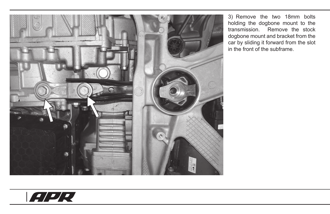

3) Remove the two 18mm bolts holding the dogbone mount to the transmission. Remove the stock dogbone mount and bracket from the car by sliding it forward from the slot in the front of the subframe.

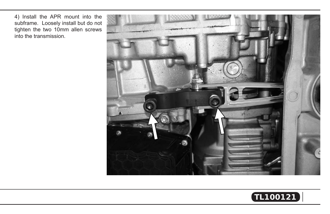4) Install the APR mount into the subframe. Loosely install but do not tighten the two 10mm allen screws into the transmission.



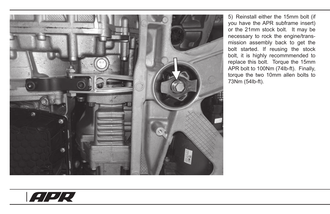

5) Reinstall either the 15mm bolt (if you have the APR subframe insert) or the 21mm stock bolt. It may be necessary to rock the engine/transmission assembly back to get the bolt started. If reusing the stock bolt, it is highly recommmended to replace this bolt. Torque the 15mm APR bolt to 100Nm (74lb-ft). Finally, torque the two 10mm allen bolts to 73Nm (54lb-ft).